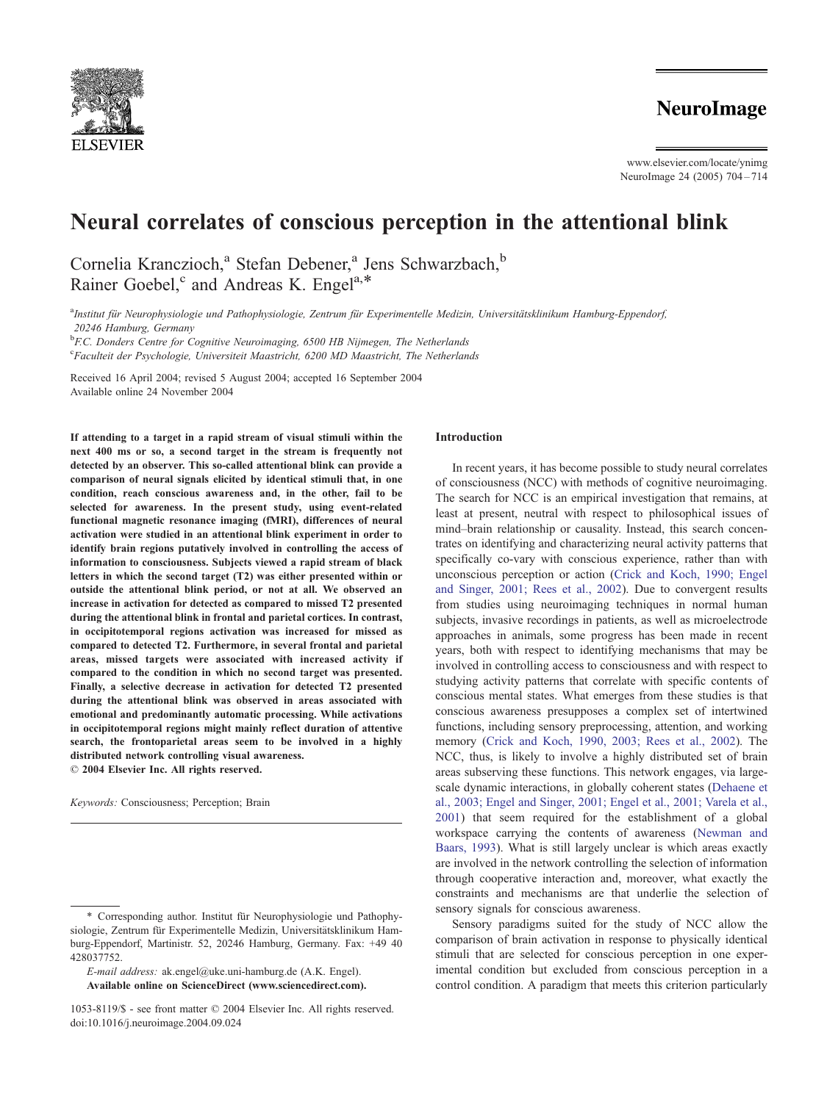

www.elsevier.com/locate/ynimg NeuroImage 24 (2005) 704 – 714

# Neural correlates of conscious perception in the attentional blink

Cornelia Kranczioch,<sup>a</sup> Stefan Debener,<sup>a</sup> Jens Schwarzbach,<sup>b</sup> Rainer Goebel,<sup>c</sup> and Andreas K. Engel<sup>a,\*</sup>

a<br><sup>a</sup>Institut für Neurophysiologie und Pathophysiologie, Zentrum für Experimentelle Medizin, Universitätsklinikum Hamburg-Eppendorf, 20246 Hamburg, Germany

<sup>b</sup> F.C. Donders Centre for Cognitive Neuroimaging, 6500 HB Nijmegen, The Netherlands

<sup>c</sup>Faculteit der Psychologie, Universiteit Maastricht, 6200 MD Maastricht, The Netherlands

Received 16 April 2004; revised 5 August 2004; accepted 16 September 2004 Available online 24 November 2004

If attending to a target in a rapid stream of visual stimuli within the next 400 ms or so, a second target in the stream is frequently not detected by an observer. This so-called attentional blink can provide a comparison of neural signals elicited by identical stimuli that, in one condition, reach conscious awareness and, in the other, fail to be selected for awareness. In the present study, using event-related functional magnetic resonance imaging (fMRI), differences of neural activation were studied in an attentional blink experiment in order to identify brain regions putatively involved in controlling the access of information to consciousness. Subjects viewed a rapid stream of black letters in which the second target (T2) was either presented within or outside the attentional blink period, or not at all. We observed an increase in activation for detected as compared to missed T2 presented during the attentional blink in frontal and parietal cortices. In contrast, in occipitotemporal regions activation was increased for missed as compared to detected T2. Furthermore, in several frontal and parietal areas, missed targets were associated with increased activity if compared to the condition in which no second target was presented. Finally, a selective decrease in activation for detected T2 presented during the attentional blink was observed in areas associated with emotional and predominantly automatic processing. While activations in occipitotemporal regions might mainly reflect duration of attentive search, the frontoparietal areas seem to be involved in a highly distributed network controlling visual awareness.  $© 2004 Elsevier Inc. All rights reserved.$ 

Keywords: Consciousness; Perception; Brain

# Introduction

In recent years, it has become possible to study neural correlates of consciousness (NCC) with methods of cognitive neuroimaging. The search for NCC is an empirical investigation that remains, at least at present, neutral with respect to philosophical issues of mind–brain relationship or causality. Instead, this search concentrates on identifying and characterizing neural activity patterns that specifically co-vary with conscious experience, rather than with unconscious perception or action ([Crick and Koch, 1990; Engel](#page-9-0) and Singer, 2001; Rees et al., 2002). Due to convergent results from studies using neuroimaging techniques in normal human subjects, invasive recordings in patients, as well as microelectrode approaches in animals, some progress has been made in recent years, both with respect to identifying mechanisms that may be involved in controlling access to consciousness and with respect to studying activity patterns that correlate with specific contents of conscious mental states. What emerges from these studies is that conscious awareness presupposes a complex set of intertwined functions, including sensory preprocessing, attention, and working memory ([Crick and Koch, 1990, 2003; Rees et al., 2002\)](#page-9-0). The NCC, thus, is likely to involve a highly distributed set of brain areas subserving these functions. This network engages, via largescale dynamic interactions, in globally coherent states ([Dehaene et](#page-10-0) al., 2003; Engel and Singer, 2001; Engel et al., 2001; Varela et al., 2001) that seem required for the establishment of a global workspace carrying the contents of awareness ([Newman and](#page-10-0) Baars, 1993). What is still largely unclear is which areas exactly are involved in the network controlling the selection of information through cooperative interaction and, moreover, what exactly the constraints and mechanisms are that underlie the selection of sensory signals for conscious awareness.

Sensory paradigms suited for the study of NCC allow the comparison of brain activation in response to physically identical stimuli that are selected for conscious perception in one experimental condition but excluded from conscious perception in a control condition. A paradigm that meets this criterion particularly

<sup>\*</sup> Corresponding author. Institut für Neurophysiologie und Pathophysiologie, Zentrum für Experimentelle Medizin, Universitätsklinikum Hamburg-Eppendorf, Martinistr. 52, 20246 Hamburg, Germany. Fax: +49 40 428037752.

E-mail address: ak.engel@uke.uni-hamburg.de (A.K. Engel). Available online on ScienceDirect (www.sciencedirect.com).

<sup>1053-8119/\$ -</sup> see front matter © 2004 Elsevier Inc. All rights reserved. doi:10.1016/j.neuroimage.2004.09.024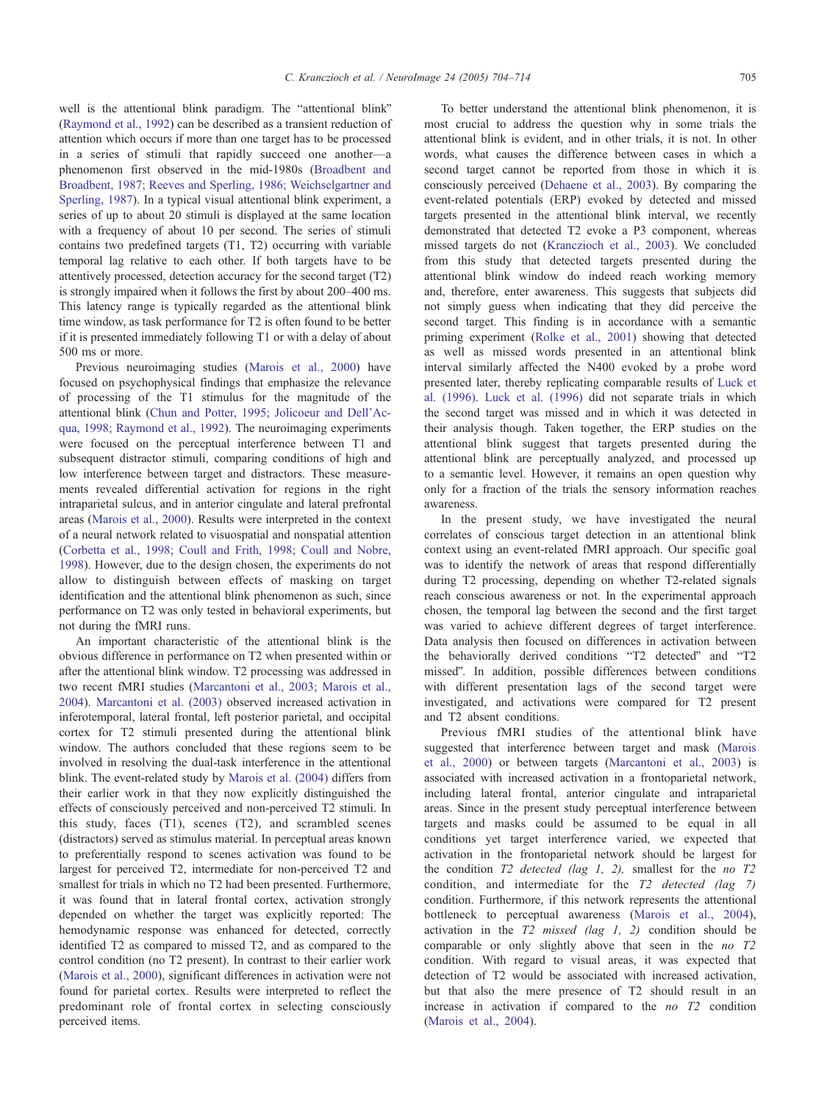well is the attentional blink paradigm. The "attentional blink" ([Raymond et al., 1992\)](#page-10-0) can be described as a transient reduction of attention which occurs if more than one target has to be processed in a series of stimuli that rapidly succeed one another—a phenomenon first observed in the mid-1980s ([Broadbent and](#page-9-0) Broadbent, 1987; Reeves and Sperling, 1986; Weichselgartner and Sperling, 1987). In a typical visual attentional blink experiment, a series of up to about 20 stimuli is displayed at the same location with a frequency of about 10 per second. The series of stimuli contains two predefined targets (T1, T2) occurring with variable temporal lag relative to each other. If both targets have to be attentively processed, detection accuracy for the second target (T2) is strongly impaired when it follows the first by about 200–400 ms. This latency range is typically regarded as the attentional blink time window, as task performance for T2 is often found to be better if it is presented immediately following T1 or with a delay of about 500 ms or more.

Previous neuroimaging studies ([Marois et al., 2000\)](#page-10-0) have focused on psychophysical findings that emphasize the relevance of processing of the T1 stimulus for the magnitude of the attentional blink [\(Chun and Potter, 1995; Jolicoeur and Dell'Ac](#page-9-0)qua, 1998; Raymond et al., 1992). The neuroimaging experiments were focused on the perceptual interference between T1 and subsequent distractor stimuli, comparing conditions of high and low interference between target and distractors. These measurements revealed differential activation for regions in the right intraparietal sulcus, and in anterior cingulate and lateral prefrontal areas ([Marois et al., 2000\)](#page-10-0). Results were interpreted in the context of a neural network related to visuospatial and nonspatial attention ([Corbetta et al., 1998; Coull and Frith, 1998; Coull and Nobre,](#page-9-0) 1998). However, due to the design chosen, the experiments do not allow to distinguish between effects of masking on target identification and the attentional blink phenomenon as such, since performance on T2 was only tested in behavioral experiments, but not during the fMRI runs.

An important characteristic of the attentional blink is the obvious difference in performance on T2 when presented within or after the attentional blink window. T2 processing was addressed in two recent fMRI studies ([Marcantoni et al., 2003; Marois et al.,](#page-10-0) 2004). [Marcantoni et al. \(2003\)](#page-10-0) observed increased activation in inferotemporal, lateral frontal, left posterior parietal, and occipital cortex for T2 stimuli presented during the attentional blink window. The authors concluded that these regions seem to be involved in resolving the dual-task interference in the attentional blink. The event-related study by [Marois et al. \(2004\)](#page-10-0) differs from their earlier work in that they now explicitly distinguished the effects of consciously perceived and non-perceived T2 stimuli. In this study, faces (T1), scenes (T2), and scrambled scenes (distractors) served as stimulus material. In perceptual areas known to preferentially respond to scenes activation was found to be largest for perceived T2, intermediate for non-perceived T2 and smallest for trials in which no T2 had been presented. Furthermore, it was found that in lateral frontal cortex, activation strongly depended on whether the target was explicitly reported: The hemodynamic response was enhanced for detected, correctly identified T2 as compared to missed T2, and as compared to the control condition (no T2 present). In contrast to their earlier work ([Marois et al., 2000\)](#page-10-0), significant differences in activation were not found for parietal cortex. Results were interpreted to reflect the predominant role of frontal cortex in selecting consciously perceived items.

To better understand the attentional blink phenomenon, it is most crucial to address the question why in some trials the attentional blink is evident, and in other trials, it is not. In other words, what causes the difference between cases in which a second target cannot be reported from those in which it is consciously perceived ([Dehaene et al., 2003\)](#page-10-0). By comparing the event-related potentials (ERP) evoked by detected and missed targets presented in the attentional blink interval, we recently demonstrated that detected T2 evoke a P3 component, whereas missed targets do not ([Kranczioch et al., 2003\)](#page-10-0). We concluded from this study that detected targets presented during the attentional blink window do indeed reach working memory and, therefore, enter awareness. This suggests that subjects did not simply guess when indicating that they did perceive the second target. This finding is in accordance with a semantic priming experiment ([Rolke et al., 2001\)](#page-10-0) showing that detected as well as missed words presented in an attentional blink interval similarly affected the N400 evoked by a probe word presented later, thereby replicating comparable results of [Luck et](#page-10-0) al. (1996). [Luck et al. \(1996\)](#page-10-0) did not separate trials in which the second target was missed and in which it was detected in their analysis though. Taken together, the ERP studies on the attentional blink suggest that targets presented during the attentional blink are perceptually analyzed, and processed up to a semantic level. However, it remains an open question why only for a fraction of the trials the sensory information reaches awareness.

In the present study, we have investigated the neural correlates of conscious target detection in an attentional blink context using an event-related fMRI approach. Our specific goal was to identify the network of areas that respond differentially during T2 processing, depending on whether T2-related signals reach conscious awareness or not. In the experimental approach chosen, the temporal lag between the second and the first target was varied to achieve different degrees of target interference. Data analysis then focused on differences in activation between the behaviorally derived conditions "T2 detected" and "T2 missed". In addition, possible differences between conditions with different presentation lags of the second target were investigated, and activations were compared for T2 present and T2 absent conditions.

Previous fMRI studies of the attentional blink have suggested that interference between target and mask ([Marois](#page-10-0) et al., 2000) or between targets ([Marcantoni et al., 2003\)](#page-10-0) is associated with increased activation in a frontoparietal network, including lateral frontal, anterior cingulate and intraparietal areas. Since in the present study perceptual interference between targets and masks could be assumed to be equal in all conditions yet target interference varied, we expected that activation in the frontoparietal network should be largest for the condition  $T2$  detected (lag 1, 2), smallest for the no  $T2$ condition, and intermediate for the T2 detected (lag 7) condition. Furthermore, if this network represents the attentional bottleneck to perceptual awareness ([Marois et al., 2004\)](#page-10-0), activation in the  $T2$  missed (lag 1, 2) condition should be comparable or only slightly above that seen in the *no* T2 condition. With regard to visual areas, it was expected that detection of T2 would be associated with increased activation, but that also the mere presence of T2 should result in an increase in activation if compared to the  $no$   $T2$  condition ([Marois et al., 2004\)](#page-10-0).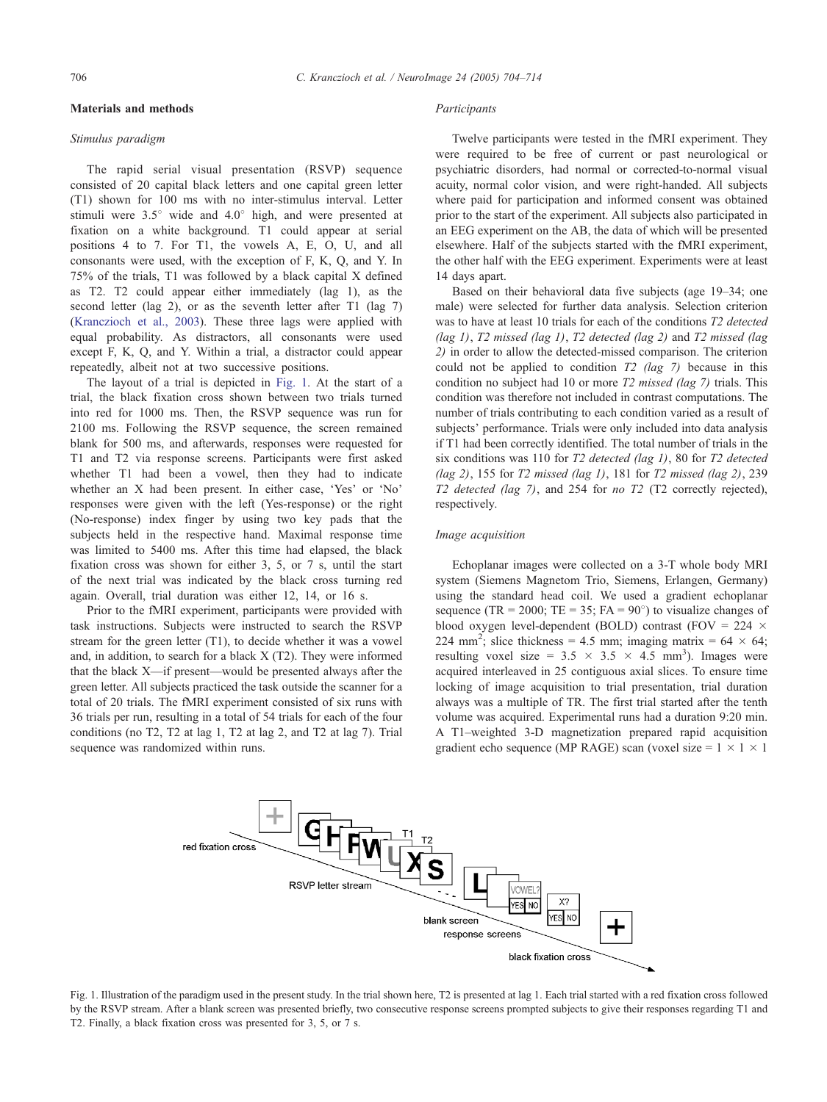## Materials and methods

## Stimulus paradigm

The rapid serial visual presentation (RSVP) sequence consisted of 20 capital black letters and one capital green letter (T1) shown for 100 ms with no inter-stimulus interval. Letter stimuli were  $3.5^{\circ}$  wide and  $4.0^{\circ}$  high, and were presented at fixation on a white background. T1 could appear at serial positions 4 to 7. For T1, the vowels A, E, O, U, and all consonants were used, with the exception of F, K, Q, and Y. In 75% of the trials, T1 was followed by a black capital X defined as T2. T2 could appear either immediately (lag 1), as the second letter (lag 2), or as the seventh letter after T1 (lag 7) ([Kranczioch et al., 2003\)](#page-10-0). These three lags were applied with equal probability. As distractors, all consonants were used except F, K, Q, and Y. Within a trial, a distractor could appear repeatedly, albeit not at two successive positions.

The layout of a trial is depicted in Fig. 1. At the start of a trial, the black fixation cross shown between two trials turned into red for 1000 ms. Then, the RSVP sequence was run for 2100 ms. Following the RSVP sequence, the screen remained blank for 500 ms, and afterwards, responses were requested for T1 and T2 via response screens. Participants were first asked whether T1 had been a vowel, then they had to indicate whether an  $X$  had been present. In either case, 'Yes' or 'No' responses were given with the left (Yes-response) or the right (No-response) index finger by using two key pads that the subjects held in the respective hand. Maximal response time was limited to 5400 ms. After this time had elapsed, the black fixation cross was shown for either 3, 5, or 7 s, until the start of the next trial was indicated by the black cross turning red again. Overall, trial duration was either 12, 14, or 16 s.

Prior to the fMRI experiment, participants were provided with task instructions. Subjects were instructed to search the RSVP stream for the green letter (T1), to decide whether it was a vowel and, in addition, to search for a black X (T2). They were informed that the black X—if present—would be presented always after the green letter. All subjects practiced the task outside the scanner for a total of 20 trials. The fMRI experiment consisted of six runs with 36 trials per run, resulting in a total of 54 trials for each of the four conditions (no T2, T2 at lag 1, T2 at lag 2, and T2 at lag 7). Trial sequence was randomized within runs.

#### Participants

Twelve participants were tested in the fMRI experiment. They were required to be free of current or past neurological or psychiatric disorders, had normal or corrected-to-normal visual acuity, normal color vision, and were right-handed. All subjects where paid for participation and informed consent was obtained prior to the start of the experiment. All subjects also participated in an EEG experiment on the AB, the data of which will be presented elsewhere. Half of the subjects started with the fMRI experiment, the other half with the EEG experiment. Experiments were at least 14 days apart.

Based on their behavioral data five subjects (age 19–34; one male) were selected for further data analysis. Selection criterion was to have at least 10 trials for each of the conditions T2 detected (lag 1), T2 missed (lag 1), T2 detected (lag 2) and T2 missed (lag 2) in order to allow the detected-missed comparison. The criterion could not be applied to condition T<sub>2</sub> (lag 7) because in this condition no subject had 10 or more T2 missed (lag 7) trials. This condition was therefore not included in contrast computations. The number of trials contributing to each condition varied as a result of subjects' performance. Trials were only included into data analysis if T1 had been correctly identified. The total number of trials in the six conditions was 110 for T2 detected (lag 1), 80 for T2 detected (lag 2), 155 for  $T2$  missed (lag 1), 181 for  $T2$  missed (lag 2), 239 T2 detected (lag 7), and 254 for no T2 (T2 correctly rejected), respectively.

### Image acquisition

Echoplanar images were collected on a 3-T whole body MRI system (Siemens Magnetom Trio, Siemens, Erlangen, Germany) using the standard head coil. We used a gradient echoplanar sequence (TR = 2000; TE = 35; FA =  $90^{\circ}$ ) to visualize changes of blood oxygen level-dependent (BOLD) contrast (FOV = 224  $\times$ 224 mm<sup>2</sup>; slice thickness = 4.5 mm; imaging matrix = 64  $\times$  64; resulting voxel size =  $3.5 \times 3.5 \times 4.5$  mm<sup>3</sup>). Images were acquired interleaved in 25 contiguous axial slices. To ensure time locking of image acquisition to trial presentation, trial duration always was a multiple of TR. The first trial started after the tenth volume was acquired. Experimental runs had a duration 9:20 min. A T1–weighted 3-D magnetization prepared rapid acquisition gradient echo sequence (MP RAGE) scan (voxel size =  $1 \times 1 \times 1$ 



Fig. 1. Illustration of the paradigm used in the present study. In the trial shown here, T2 is presented at lag 1. Each trial started with a red fixation cross followed by the RSVP stream. After a blank screen was presented briefly, two consecutive response screens prompted subjects to give their responses regarding T1 and T2. Finally, a black fixation cross was presented for 3, 5, or 7 s.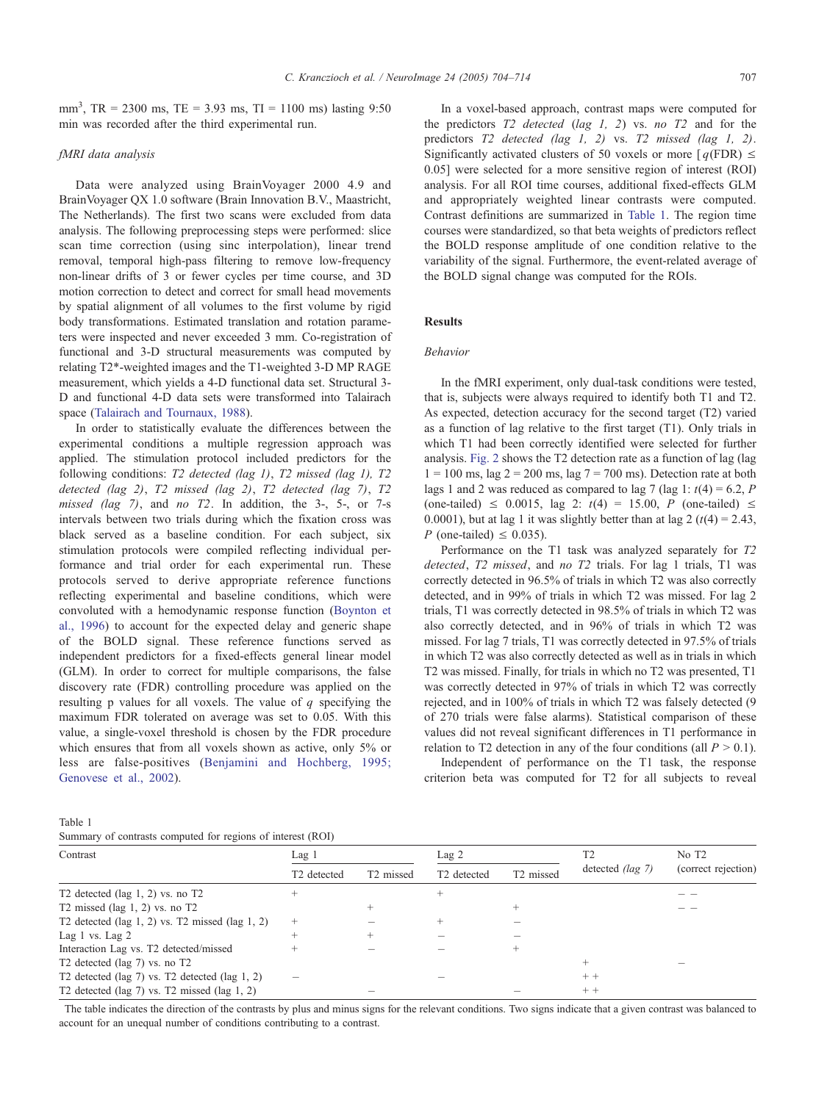mm<sup>3</sup>, TR = 2300 ms, TE = 3.93 ms, TI = 1100 ms) lasting 9:50 min was recorded after the third experimental run.

# fMRI data analysis

Data were analyzed using BrainVoyager 2000 4.9 and BrainVoyager QX 1.0 software (Brain Innovation B.V., Maastricht, The Netherlands). The first two scans were excluded from data analysis. The following preprocessing steps were performed: slice scan time correction (using sinc interpolation), linear trend removal, temporal high-pass filtering to remove low-frequency non-linear drifts of 3 or fewer cycles per time course, and 3D motion correction to detect and correct for small head movements by spatial alignment of all volumes to the first volume by rigid body transformations. Estimated translation and rotation parameters were inspected and never exceeded 3 mm. Co-registration of functional and 3-D structural measurements was computed by relating T2\*-weighted images and the T1-weighted 3-D MP RAGE measurement, which yields a 4-D functional data set. Structural 3- D and functional 4-D data sets were transformed into Talairach space [\(Talairach and Tournaux, 1988\)](#page-10-0).

In order to statistically evaluate the differences between the experimental conditions a multiple regression approach was applied. The stimulation protocol included predictors for the following conditions: T2 detected (lag 1), T2 missed (lag 1), T2 detected (lag 2), T2 missed (lag 2), T2 detected (lag 7), T2 missed (lag 7), and no T2. In addition, the 3-, 5-, or 7-s intervals between two trials during which the fixation cross was black served as a baseline condition. For each subject, six stimulation protocols were compiled reflecting individual performance and trial order for each experimental run. These protocols served to derive appropriate reference functions reflecting experimental and baseline conditions, which were convoluted with a hemodynamic response function ([Boynton et](#page-9-0) al., 1996) to account for the expected delay and generic shape of the BOLD signal. These reference functions served as independent predictors for a fixed-effects general linear model (GLM). In order to correct for multiple comparisons, the false discovery rate (FDR) controlling procedure was applied on the resulting p values for all voxels. The value of  $q$  specifying the maximum FDR tolerated on average was set to 0.05. With this value, a single-voxel threshold is chosen by the FDR procedure which ensures that from all voxels shown as active, only 5% or less are false-positives ([Benjamini and Hochberg, 1995;](#page-9-0) Genovese et al., 2002).

In a voxel-based approach, contrast maps were computed for the predictors  $T2$  detected (lag 1, 2) vs. no  $T2$  and for the predictors T2 detected (lag 1, 2) vs. T2 missed (lag 1, 2). Significantly activated clusters of 50 voxels or more  $[q(FDR) \leq$ 0.05] were selected for a more sensitive region of interest (ROI) analysis. For all ROI time courses, additional fixed-effects GLM and appropriately weighted linear contrasts were computed. Contrast definitions are summarized in Table 1. The region time courses were standardized, so that beta weights of predictors reflect the BOLD response amplitude of one condition relative to the variability of the signal. Furthermore, the event-related average of the BOLD signal change was computed for the ROIs.

# Results

# Behavior

In the fMRI experiment, only dual-task conditions were tested, that is, subjects were always required to identify both T1 and T2. As expected, detection accuracy for the second target (T2) varied as a function of lag relative to the first target (T1). Only trials in which T1 had been correctly identified were selected for further analysis. [Fig. 2](#page-4-0) shows the T2 detection rate as a function of lag (lag  $1 = 100$  ms, lag  $2 = 200$  ms, lag  $7 = 700$  ms). Detection rate at both lags 1 and 2 was reduced as compared to lag 7 (lag 1:  $t(4) = 6.2$ , P (one-tailed)  $\leq$  0.0015, lag 2:  $t(4) = 15.00$ , P (one-tailed)  $\leq$ 0.0001), but at lag 1 it was slightly better than at lag 2 ( $t$ (4) = 2.43, P (one-tailed)  $\leq$  0.035).

Performance on the T1 task was analyzed separately for T2 detected, T2 missed, and no T2 trials. For lag 1 trials, T1 was correctly detected in 96.5% of trials in which T2 was also correctly detected, and in 99% of trials in which T2 was missed. For lag 2 trials, T1 was correctly detected in 98.5% of trials in which T2 was also correctly detected, and in 96% of trials in which T2 was missed. For lag 7 trials, T1 was correctly detected in 97.5% of trials in which T2 was also correctly detected as well as in trials in which T2 was missed. Finally, for trials in which no T2 was presented, T1 was correctly detected in 97% of trials in which T2 was correctly rejected, and in 100% of trials in which T2 was falsely detected (9 of 270 trials were false alarms). Statistical comparison of these values did not reveal significant differences in T1 performance in relation to T2 detection in any of the four conditions (all  $P > 0.1$ ).

Independent of performance on the T1 task, the response criterion beta was computed for T2 for all subjects to reveal

| Table 1 |  |  |  |
|---------|--|--|--|
|         |  |  |  |

| Summary of contrasts computed for regions of interest (ROI) |  |  |  |  |
|-------------------------------------------------------------|--|--|--|--|
|-------------------------------------------------------------|--|--|--|--|

| Contrast                                                                                    | Lag 1                   |                       | Lag <sub>2</sub>                                 |  |                         | No T <sub>2</sub>   |  |  |
|---------------------------------------------------------------------------------------------|-------------------------|-----------------------|--------------------------------------------------|--|-------------------------|---------------------|--|--|
|                                                                                             | T <sub>2</sub> detected | T <sub>2</sub> missed | T <sub>2</sub> missed<br>T <sub>2</sub> detected |  | detected <i>(lag 7)</i> | (correct rejection) |  |  |
| T <sub>2</sub> detected $(\text{lag } 1, 2)$ vs. no T <sub>2</sub>                          |                         |                       |                                                  |  |                         |                     |  |  |
| T <sub>2</sub> missed (lag $1, 2$ ) vs. no T <sub>2</sub>                                   |                         |                       |                                                  |  |                         |                     |  |  |
| T <sub>2</sub> detected $(\text{lag } 1, 2)$ vs. T <sub>2</sub> missed $(\text{lag } 1, 2)$ |                         |                       |                                                  |  |                         |                     |  |  |
| Lag $1$ vs. Lag $2$                                                                         |                         |                       |                                                  |  |                         |                     |  |  |
| Interaction Lag vs. T2 detected/missed                                                      |                         |                       |                                                  |  |                         |                     |  |  |
| T <sub>2</sub> detected (lag 7) vs. no T <sub>2</sub>                                       |                         |                       |                                                  |  | $^{+}$                  |                     |  |  |
| T <sub>2</sub> detected (lag $7$ ) vs. T <sub>2</sub> detected (lag $1, 2$ )                |                         |                       |                                                  |  | $+ +$                   |                     |  |  |
| T <sub>2</sub> detected (lag $7$ ) vs. T <sub>2</sub> missed (lag $1, 2$ )                  |                         |                       |                                                  |  | $+ +$                   |                     |  |  |

The table indicates the direction of the contrasts by plus and minus signs for the relevant conditions. Two signs indicate that a given contrast was balanced to account for an unequal number of conditions contributing to a contrast.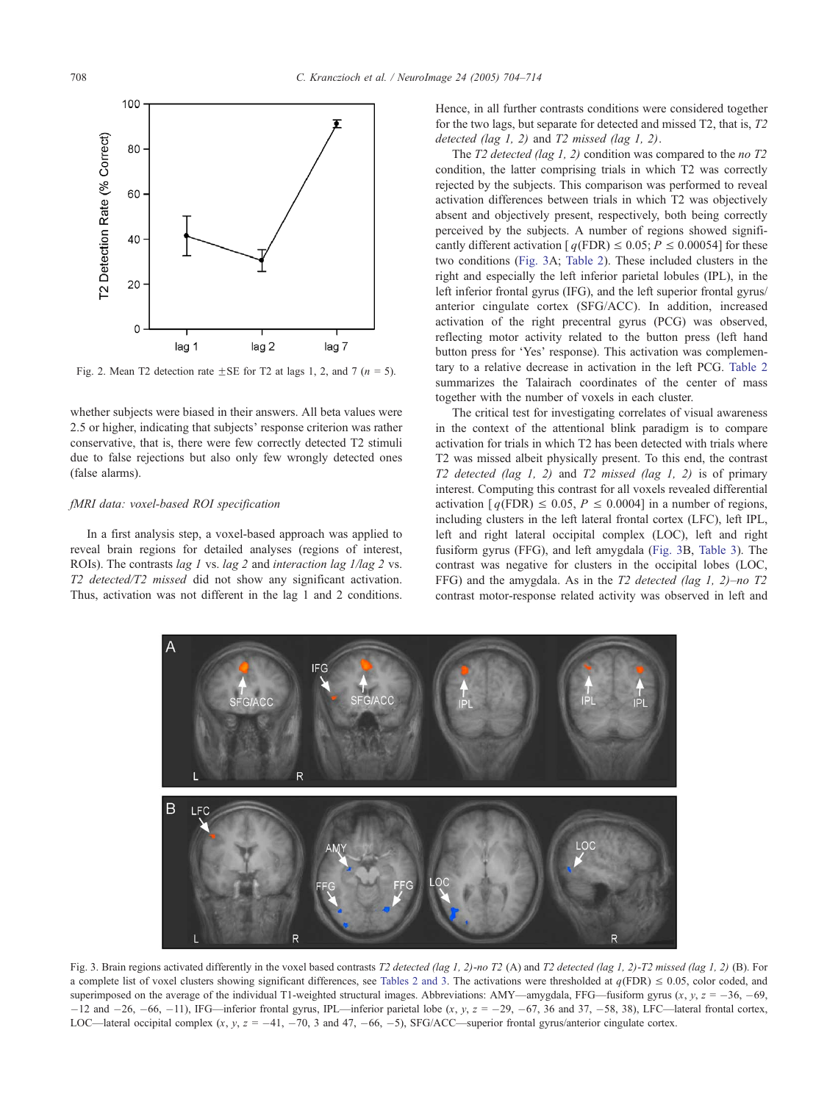<span id="page-4-0"></span>

Fig. 2. Mean T2 detection rate  $\pm$  SE for T2 at lags 1, 2, and 7 (n = 5).

whether subjects were biased in their answers. All beta values were 2.5 or higher, indicating that subjects' response criterion was rather conservative, that is, there were few correctly detected T2 stimuli due to false rejections but also only few wrongly detected ones (false alarms).

# fMRI data: voxel-based ROI specification

In a first analysis step, a voxel-based approach was applied to reveal brain regions for detailed analyses (regions of interest, ROIs). The contrasts *lag 1* vs. *lag 2* and *interaction lag*  $1/lag$  *2* vs. T2 detected/T2 missed did not show any significant activation. Thus, activation was not different in the lag 1 and 2 conditions. Hence, in all further contrasts conditions were considered together for the two lags, but separate for detected and missed T2, that is, T2 detected (lag 1, 2) and  $T2$  missed (lag 1, 2).

The  $T2$  detected (lag 1, 2) condition was compared to the no  $T2$ condition, the latter comprising trials in which T2 was correctly rejected by the subjects. This comparison was performed to reveal activation differences between trials in which T2 was objectively absent and objectively present, respectively, both being correctly perceived by the subjects. A number of regions showed significantly different activation  $[q(FDR) \le 0.05; P \le 0.00054]$  for these two conditions (Fig. 3A; [Table 2\)](#page-5-0). These included clusters in the right and especially the left inferior parietal lobules (IPL), in the left inferior frontal gyrus (IFG), and the left superior frontal gyrus/ anterior cingulate cortex (SFG/ACC). In addition, increased activation of the right precentral gyrus (PCG) was observed, reflecting motor activity related to the button press (left hand button press for 'Yes' response). This activation was complementary to a relative decrease in activation in the left PCG. [Table 2](#page-5-0) summarizes the Talairach coordinates of the center of mass together with the number of voxels in each cluster.

The critical test for investigating correlates of visual awareness in the context of the attentional blink paradigm is to compare activation for trials in which T2 has been detected with trials where T2 was missed albeit physically present. To this end, the contrast T2 detected (lag 1, 2) and T2 missed (lag 1, 2) is of primary interest. Computing this contrast for all voxels revealed differential activation  $[q(FDR) \le 0.05, P \le 0.0004]$  in a number of regions, including clusters in the left lateral frontal cortex (LFC), left IPL, left and right lateral occipital complex (LOC), left and right fusiform gyrus (FFG), and left amygdala (Fig. 3B, [Table 3\)](#page-5-0). The contrast was negative for clusters in the occipital lobes (LOC, FFG) and the amygdala. As in the T2 detected (lag 1, 2)–no T2 contrast motor-response related activity was observed in left and



Fig. 3. Brain regions activated differently in the voxel based contrasts T2 detected (lag 1, 2)-no T2 (A) and T2 detected (lag 1, 2)-T2 missed (lag 1, 2) (B). For a complete list of voxel clusters showing significant differences, see [Tables 2 and 3.](#page-5-0) The activations were thresholded at  $q(FDR) \le 0.05$ , color coded, and superimposed on the average of the individual T1-weighted structural images. Abbreviations: AMY—amygdala, FFG—fusiform gyrus  $(x, y, z = -36, -69, z = 0.01)$  $-12$  and  $-26$ ,  $-66$ ,  $-11$ ), IFG—inferior frontal gyrus, IPL—inferior parietal lobe  $(x, y, z = -29, -67, 36$  and 37,  $-58, 38$ ), LFC—lateral frontal cortex, LOC—lateral occipital complex  $(x, y, z = -41, -70, 3$  and 47,  $-66, -5)$ , SFG/ACC—superior frontal gyrus/anterior cingulate cortex.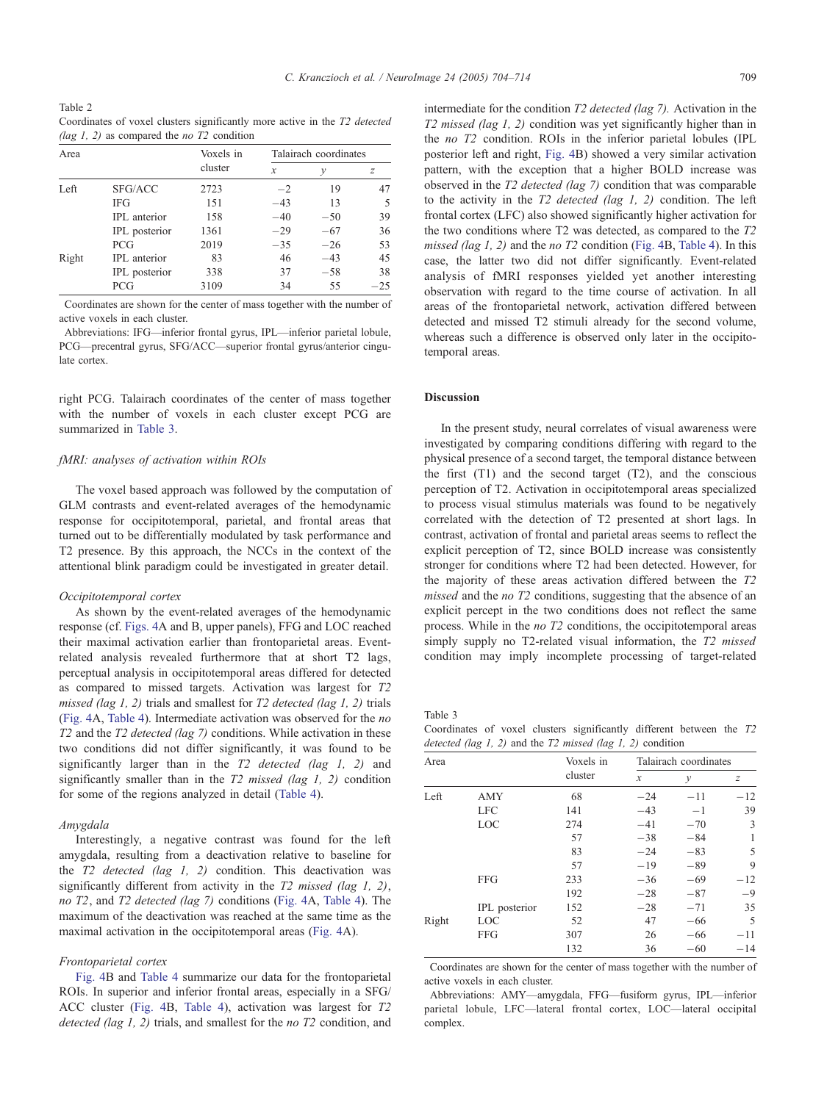<span id="page-5-0"></span>Table 2 Coordinates of voxel clusters significantly more active in the T2 detected (lag 1, 2) as compared the *no*  $T2$  condition

| Area  |               | Voxels in | Talairach coordinates |       |       |  |
|-------|---------------|-----------|-----------------------|-------|-------|--|
|       |               | cluster   | $\mathcal{X}$         | ν     | z     |  |
| Left  | SFG/ACC       | 2723      | $-2$                  | 19    | 47    |  |
|       | <b>IFG</b>    | 151       | $-43$                 | 13    | 5     |  |
|       | IPL anterior  | 158       | $-40$                 | $-50$ | 39    |  |
|       | IPL posterior | 1361      | $-29$                 | $-67$ | 36    |  |
|       | <b>PCG</b>    | 2019      | $-35$                 | $-26$ | 53    |  |
| Right | IPL anterior  | 83        | 46                    | $-43$ | 45    |  |
|       | IPL posterior | 338       | 37                    | $-58$ | 38    |  |
|       | <b>PCG</b>    | 3109      | 34                    | 55    | $-25$ |  |

Coordinates are shown for the center of mass together with the number of active voxels in each cluster.

Abbreviations: IFG—inferior frontal gyrus, IPL—inferior parietal lobule, PCG—precentral gyrus, SFG/ACC—superior frontal gyrus/anterior cingulate cortex.

right PCG. Talairach coordinates of the center of mass together with the number of voxels in each cluster except PCG are summarized in Table 3.

# fMRI: analyses of activation within ROIs

The voxel based approach was followed by the computation of GLM contrasts and event-related averages of the hemodynamic response for occipitotemporal, parietal, and frontal areas that turned out to be differentially modulated by task performance and T2 presence. By this approach, the NCCs in the context of the attentional blink paradigm could be investigated in greater detail.

## Occipitotemporal cortex

As shown by the event-related averages of the hemodynamic response (cf. [Figs. 4A](#page-6-0) and B, upper panels), FFG and LOC reached their maximal activation earlier than frontoparietal areas. Eventrelated analysis revealed furthermore that at short T2 lags, perceptual analysis in occipitotemporal areas differed for detected as compared to missed targets. Activation was largest for T2 missed (lag 1, 2) trials and smallest for  $T2$  detected (lag 1, 2) trials ([Fig. 4A](#page-6-0), [Table 4](#page-7-0)). Intermediate activation was observed for the no T2 and the T2 detected (lag 7) conditions. While activation in these two conditions did not differ significantly, it was found to be significantly larger than in the T2 detected (lag 1, 2) and significantly smaller than in the T2 missed (lag 1, 2) condition for some of the regions analyzed in detail ([Table 4\)](#page-7-0).

#### Amygdala

Interestingly, a negative contrast was found for the left amygdala, resulting from a deactivation relative to baseline for the  $T2$  detected (lag 1, 2) condition. This deactivation was significantly different from activity in the T2 missed (lag 1, 2), no T2, and T2 detected (lag 7) conditions ([Fig. 4A](#page-6-0), [Table 4\)](#page-7-0). The maximum of the deactivation was reached at the same time as the maximal activation in the occipitotemporal areas ([Fig. 4A](#page-6-0)).

## Frontoparietal cortex

[Fig. 4](#page-6-0)B and [Table 4](#page-7-0) summarize our data for the frontoparietal ROIs. In superior and inferior frontal areas, especially in a SFG/ ACC cluster ([Fig. 4B](#page-6-0), [Table 4\)](#page-7-0), activation was largest for T2 detected (lag 1, 2) trials, and smallest for the no T2 condition, and intermediate for the condition T2 detected (lag 7). Activation in the T2 missed (lag 1, 2) condition was yet significantly higher than in the no T2 condition. ROIs in the inferior parietal lobules (IPL posterior left and right, [Fig. 4B](#page-6-0)) showed a very similar activation pattern, with the exception that a higher BOLD increase was observed in the T2 detected (lag 7) condition that was comparable to the activity in the  $T2$  detected (lag 1, 2) condition. The left frontal cortex (LFC) also showed significantly higher activation for the two conditions where T2 was detected, as compared to the T2 missed (lag 1, 2) and the no  $T2$  condition ([Fig. 4B](#page-6-0), [Table 4\)](#page-7-0). In this case, the latter two did not differ significantly. Event-related analysis of fMRI responses yielded yet another interesting observation with regard to the time course of activation. In all areas of the frontoparietal network, activation differed between detected and missed T2 stimuli already for the second volume, whereas such a difference is observed only later in the occipitotemporal areas.

# Discussion

In the present study, neural correlates of visual awareness were investigated by comparing conditions differing with regard to the physical presence of a second target, the temporal distance between the first  $(T1)$  and the second target  $(T2)$ , and the conscious perception of T2. Activation in occipitotemporal areas specialized to process visual stimulus materials was found to be negatively correlated with the detection of T2 presented at short lags. In contrast, activation of frontal and parietal areas seems to reflect the explicit perception of T2, since BOLD increase was consistently stronger for conditions where T2 had been detected. However, for the majority of these areas activation differed between the T2 missed and the no T2 conditions, suggesting that the absence of an explicit percept in the two conditions does not reflect the same process. While in the no T2 conditions, the occipitotemporal areas simply supply no T2-related visual information, the T2 missed condition may imply incomplete processing of target-related

Table 3

Coordinates of voxel clusters significantly different between the T2 detected (lag 1, 2) and the  $T2$  missed (lag 1, 2) condition

|       | $\check{~}$   | $\tilde{\phantom{0}}$ |               |                       |       |  |  |
|-------|---------------|-----------------------|---------------|-----------------------|-------|--|--|
| Area  |               | Voxels in             |               | Talairach coordinates |       |  |  |
|       |               | cluster               | $\mathcal{X}$ | у                     | z     |  |  |
| Left  | AMY           | 68                    | $-24$         | $-11$                 | $-12$ |  |  |
|       | <b>LFC</b>    | 141                   | $-43$         | $-1$                  | 39    |  |  |
|       | LOC           | 274                   | $-41$         | $-70$                 | 3     |  |  |
|       |               | 57                    | $-38$         | $-84$                 | 1     |  |  |
|       |               | 83                    | $-24$         | $-83$                 | 5     |  |  |
|       |               | 57                    | $-19$         | $-89$                 | 9     |  |  |
|       | FFG           | 233                   | $-36$         | $-69$                 | $-12$ |  |  |
|       |               | 192                   | $-28$         | $-87$                 | $-9$  |  |  |
|       | IPL posterior | 152                   | $-28$         | $-71$                 | 35    |  |  |
| Right | LOC           | 52                    | 47            | $-66$                 | 5     |  |  |
|       | <b>FFG</b>    | 307                   | 26            | $-66$                 | $-11$ |  |  |
|       |               | 132                   | 36            | $-60$                 | $-14$ |  |  |

Coordinates are shown for the center of mass together with the number of active voxels in each cluster.

Abbreviations: AMY—amygdala, FFG—fusiform gyrus, IPL—inferior parietal lobule, LFC—lateral frontal cortex, LOC—lateral occipital complex.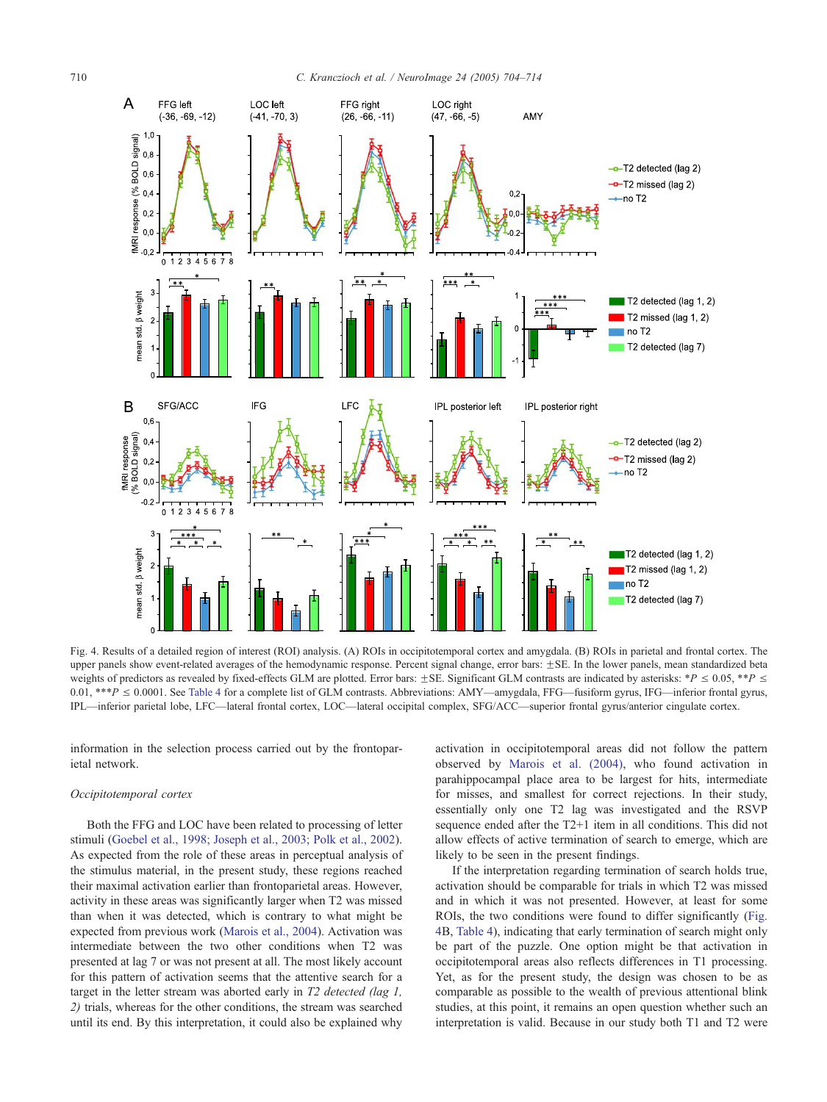<span id="page-6-0"></span>

Fig. 4. Results of a detailed region of interest (ROI) analysis. (A) ROIs in occipitotemporal cortex and amygdala. (B) ROIs in parietal and frontal cortex. The upper panels show event-related averages of the hemodynamic response. Percent signal change, error bars:  $\pm$ SE. In the lower panels, mean standardized beta weights of predictors as revealed by fixed-effects GLM are plotted. Error bars:  $\pm$ SE. Significant GLM contrasts are indicated by asterisks: \*P  $\leq$  0.05, \*\*P  $\leq$ 0.01, \*\*\*P  $\leq$  0.0001. See [Table 4](#page-7-0) for a complete list of GLM contrasts. Abbreviations: AMY—amygdala, FFG—fusiform gyrus, IFG—inferior frontal gyrus, IPL—inferior parietal lobe, LFC—lateral frontal cortex, LOC—lateral occipital complex, SFG/ACC—superior frontal gyrus/anterior cingulate cortex.

information in the selection process carried out by the frontoparietal network.

## Occipitotemporal cortex

Both the FFG and LOC have been related to processing of letter stimuli ([Goebel et al., 1998; Joseph et al., 2003; Polk et al., 2002\)](#page-10-0). As expected from the role of these areas in perceptual analysis of the stimulus material, in the present study, these regions reached their maximal activation earlier than frontoparietal areas. However, activity in these areas was significantly larger when T2 was missed than when it was detected, which is contrary to what might be expected from previous work ([Marois et al., 2004\)](#page-10-0). Activation was intermediate between the two other conditions when T2 was presented at lag 7 or was not present at all. The most likely account for this pattern of activation seems that the attentive search for a target in the letter stream was aborted early in  $T2$  detected (lag 1, 2) trials, whereas for the other conditions, the stream was searched until its end. By this interpretation, it could also be explained why

activation in occipitotemporal areas did not follow the pattern observed by [Marois et al. \(2004\),](#page-10-0) who found activation in parahippocampal place area to be largest for hits, intermediate for misses, and smallest for correct rejections. In their study, essentially only one T2 lag was investigated and the RSVP sequence ended after the T2+1 item in all conditions. This did not allow effects of active termination of search to emerge, which are likely to be seen in the present findings.

If the interpretation regarding termination of search holds true, activation should be comparable for trials in which T2 was missed and in which it was not presented. However, at least for some ROIs, the two conditions were found to differ significantly (Fig. 4B, [Table 4\)](#page-7-0), indicating that early termination of search might only be part of the puzzle. One option might be that activation in occipitotemporal areas also reflects differences in T1 processing. Yet, as for the present study, the design was chosen to be as comparable as possible to the wealth of previous attentional blink studies, at this point, it remains an open question whether such an interpretation is valid. Because in our study both T1 and T2 were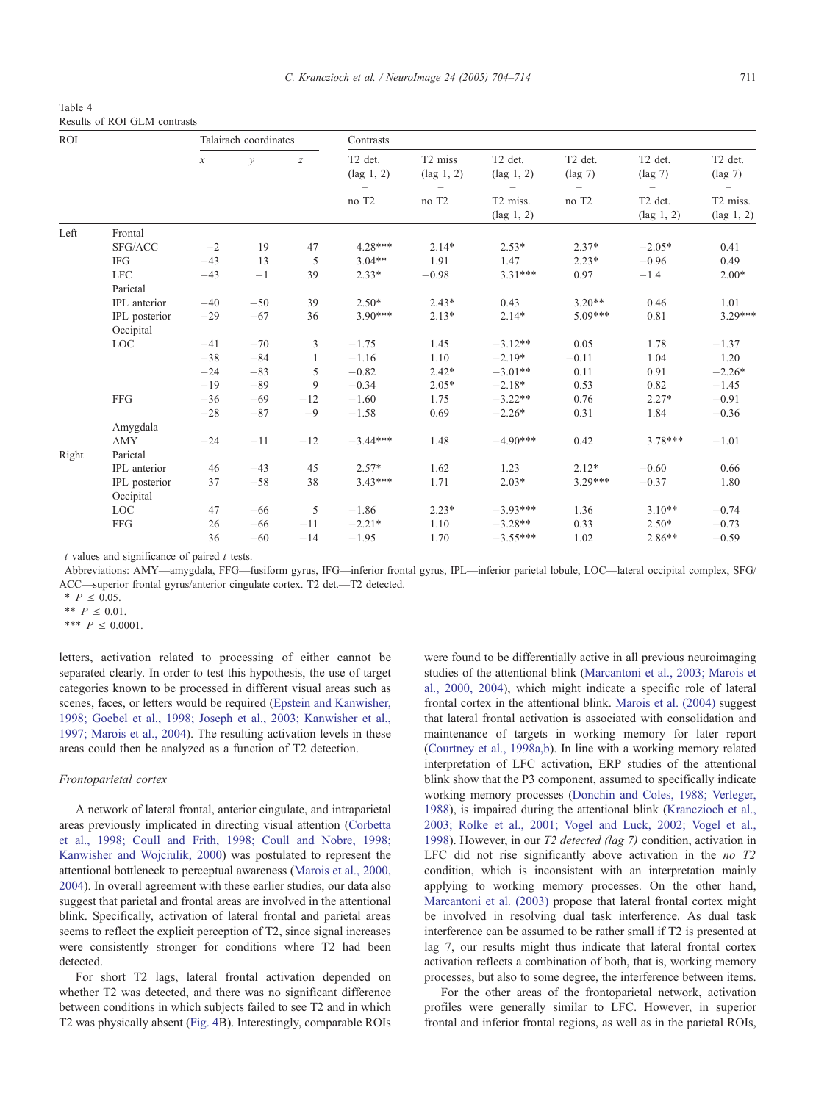<span id="page-7-0"></span>

| Table 4 |  |                              |
|---------|--|------------------------------|
|         |  | Results of ROI GLM contrasts |

| <b>ROI</b> |                            |                     | Talairach coordinates |                  | Contrasts                                   |                                             |                                             |                                          |                                             |                                          |
|------------|----------------------------|---------------------|-----------------------|------------------|---------------------------------------------|---------------------------------------------|---------------------------------------------|------------------------------------------|---------------------------------------------|------------------------------------------|
|            |                            | $\boldsymbol{\chi}$ | $\mathcal{Y}$         | $\boldsymbol{Z}$ | T <sub>2</sub> det.<br>$(\text{lag } 1, 2)$ | T <sub>2</sub> miss<br>$(\text{lag } 1, 2)$ | T <sub>2</sub> det.<br>$(\text{lag } 1, 2)$ | T <sub>2</sub> det.<br>$(\text{lag } 7)$ | T <sub>2</sub> det.<br>$(\text{lag } 7)$    | T <sub>2</sub> det.<br>$(\text{lag } 7)$ |
|            |                            |                     |                       |                  | no T <sub>2</sub>                           | no T <sub>2</sub>                           | T2 miss.<br>$(\text{lag } 1, 2)$            | no T2                                    | T <sub>2</sub> det.<br>$(\text{lag } 1, 2)$ | T2 miss.<br>$(\text{lag } 1, 2)$         |
| Left       | Frontal                    |                     |                       |                  |                                             |                                             |                                             |                                          |                                             |                                          |
|            | SFG/ACC                    | $-2$                | 19                    | 47               | $4.28***$                                   | $2.14*$                                     | $2.53*$                                     | $2.37*$                                  | $-2.05*$                                    | 0.41                                     |
|            | <b>IFG</b>                 | $-43$               | 13                    | 5                | $3.04**$                                    | 1.91                                        | 1.47                                        | $2.23*$                                  | $-0.96$                                     | 0.49                                     |
|            | <b>LFC</b><br>Parietal     | $-43$               | $-1$                  | 39               | $2.33*$                                     | $-0.98$                                     | $3.31***$                                   | 0.97                                     | $-1.4$                                      | $2.00*$                                  |
|            | IPL anterior               | $-40$               | $-50$                 | 39               | $2.50*$                                     | $2.43*$                                     | 0.43                                        | $3.20**$                                 | 0.46                                        | 1.01                                     |
|            | IPL posterior<br>Occipital | $-29$               | $-67$                 | 36               | $3.90***$                                   | $2.13*$                                     | $2.14*$                                     | $5.09***$                                | 0.81                                        | $3.29***$                                |
|            | <b>LOC</b>                 | $-41$               | $-70$                 | 3                | $-1.75$                                     | 1.45                                        | $-3.12**$                                   | 0.05                                     | 1.78                                        | $-1.37$                                  |
|            |                            | $-38$               | $-84$                 |                  | $-1.16$                                     | 1.10                                        | $-2.19*$                                    | $-0.11$                                  | 1.04                                        | 1.20                                     |
|            |                            | $-24$               | $-83$                 | 5                | $-0.82$                                     | $2.42*$                                     | $-3.01**$                                   | 0.11                                     | 0.91                                        | $-2.26*$                                 |
|            |                            | $-19$               | $-89$                 | 9                | $-0.34$                                     | $2.05*$                                     | $-2.18*$                                    | 0.53                                     | 0.82                                        | $-1.45$                                  |
|            | <b>FFG</b>                 | $-36$               | $-69$                 | $-12$            | $-1.60$                                     | 1.75                                        | $-3.22**$                                   | 0.76                                     | $2.27*$                                     | $-0.91$                                  |
|            |                            | $-28$               | $-87$                 | $-9$             | $-1.58$                                     | 0.69                                        | $-2.26*$                                    | 0.31                                     | 1.84                                        | $-0.36$                                  |
|            | Amygdala                   |                     |                       |                  |                                             |                                             |                                             |                                          |                                             |                                          |
|            | <b>AMY</b>                 | $-24$               | $-11$                 | $-12$            | $-3.44***$                                  | 1.48                                        | $-4.90***$                                  | 0.42                                     | $3.78***$                                   | $-1.01$                                  |
| Right      | Parietal                   |                     |                       |                  |                                             |                                             |                                             |                                          |                                             |                                          |
|            | IPL anterior               | 46                  | $-43$                 | 45               | $2.57*$                                     | 1.62                                        | 1.23                                        | $2.12*$                                  | $-0.60$                                     | 0.66                                     |
|            | IPL posterior              | 37                  | $-58$                 | 38               | $3.43***$                                   | 1.71                                        | $2.03*$                                     | $3.29***$                                | $-0.37$                                     | 1.80                                     |
|            | Occipital                  |                     |                       |                  |                                             |                                             |                                             |                                          |                                             |                                          |
|            | LOC                        | 47                  | $-66$                 | 5                | $-1.86$                                     | $2.23*$                                     | $-3.93***$                                  | 1.36                                     | $3.10**$                                    | $-0.74$                                  |
|            | <b>FFG</b>                 | 26                  | $-66$                 | $-11$            | $-2.21*$                                    | 1.10                                        | $-3.28**$                                   | 0.33                                     | $2.50*$                                     | $-0.73$                                  |
|            |                            | 36                  | $-60$                 | $-14$            | $-1.95$                                     | 1.70                                        | $-3.55***$                                  | 1.02                                     | $2.86**$                                    | $-0.59$                                  |

 $t$  values and significance of paired  $t$  tests.

Abbreviations: AMY—amygdala, FFG—fusiform gyrus, IFG—inferior frontal gyrus, IPL—inferior parietal lobule, LOC—lateral occipital complex, SFG/ ACC—superior frontal gyrus/anterior cingulate cortex. T2 det.—T2 detected.

 $*$   $P \le 0.05$ .

\*\*  $P < 0.01$ 

\*\*\*  $P \le 0.0001$ .

letters, activation related to processing of either cannot be separated clearly. In order to test this hypothesis, the use of target categories known to be processed in different visual areas such as scenes, faces, or letters would be required ([Epstein and Kanwisher,](#page-10-0) 1998; Goebel et al., 1998; Joseph et al., 2003; Kanwisher et al., 1997; Marois et al., 2004). The resulting activation levels in these areas could then be analyzed as a function of T2 detection.

# Frontoparietal cortex

A network of lateral frontal, anterior cingulate, and intraparietal areas previously implicated in directing visual attention ([Corbetta](#page-9-0) et al., 1998; Coull and Frith, 1998; Coull and Nobre, 1998; Kanwisher and Wojciulik, 2000) was postulated to represent the attentional bottleneck to perceptual awareness ([Marois et al., 2000,](#page-10-0) 2004). In overall agreement with these earlier studies, our data also suggest that parietal and frontal areas are involved in the attentional blink. Specifically, activation of lateral frontal and parietal areas seems to reflect the explicit perception of T2, since signal increases were consistently stronger for conditions where T2 had been detected.

For short T2 lags, lateral frontal activation depended on whether T2 was detected, and there was no significant difference between conditions in which subjects failed to see T2 and in which T2 was physically absent ([Fig. 4B](#page-6-0)). Interestingly, comparable ROIs were found to be differentially active in all previous neuroimaging studies of the attentional blink ([Marcantoni et al., 2003; Marois et](#page-10-0) al., 2000, 2004), which might indicate a specific role of lateral frontal cortex in the attentional blink. [Marois et al. \(2004\)](#page-10-0) suggest that lateral frontal activation is associated with consolidation and maintenance of targets in working memory for later report ([Courtney et al., 1998a,b\)](#page-9-0). In line with a working memory related interpretation of LFC activation, ERP studies of the attentional blink show that the P3 component, assumed to specifically indicate working memory processes ([Donchin and Coles, 1988; Verleger,](#page-10-0) 1988), is impaired during the attentional blink ([Kranczioch et al.,](#page-10-0) 2003; Rolke et al., 2001; Vogel and Luck, 2002; Vogel et al., 1998). However, in our T2 detected (lag 7) condition, activation in LFC did not rise significantly above activation in the *no* T2 condition, which is inconsistent with an interpretation mainly applying to working memory processes. On the other hand, [Marcantoni et al. \(2003\)](#page-10-0) propose that lateral frontal cortex might be involved in resolving dual task interference. As dual task interference can be assumed to be rather small if T2 is presented at lag 7, our results might thus indicate that lateral frontal cortex activation reflects a combination of both, that is, working memory processes, but also to some degree, the interference between items.

For the other areas of the frontoparietal network, activation profiles were generally similar to LFC. However, in superior frontal and inferior frontal regions, as well as in the parietal ROIs,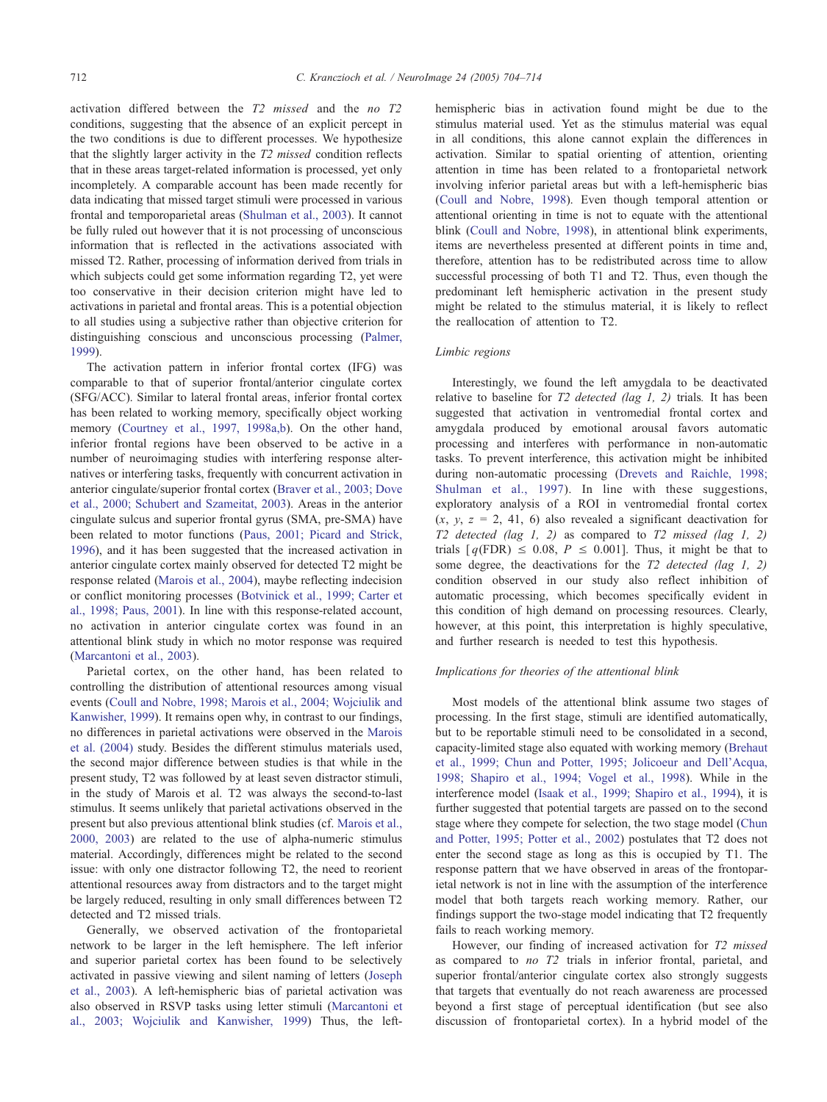activation differed between the T2 missed and the no T2 conditions, suggesting that the absence of an explicit percept in the two conditions is due to different processes. We hypothesize that the slightly larger activity in the T2 missed condition reflects that in these areas target-related information is processed, yet only incompletely. A comparable account has been made recently for data indicating that missed target stimuli were processed in various frontal and temporoparietal areas ([Shulman et al., 2003\)](#page-10-0). It cannot be fully ruled out however that it is not processing of unconscious information that is reflected in the activations associated with missed T2. Rather, processing of information derived from trials in which subjects could get some information regarding T2, yet were too conservative in their decision criterion might have led to activations in parietal and frontal areas. This is a potential objection to all studies using a subjective rather than objective criterion for distinguishing conscious and unconscious processing ([Palmer,](#page-10-0) 1999).

The activation pattern in inferior frontal cortex (IFG) was comparable to that of superior frontal/anterior cingulate cortex (SFG/ACC). Similar to lateral frontal areas, inferior frontal cortex has been related to working memory, specifically object working memory ([Courtney et al., 1997, 1998a,b\)](#page-9-0). On the other hand, inferior frontal regions have been observed to be active in a number of neuroimaging studies with interfering response alternatives or interfering tasks, frequently with concurrent activation in anterior cingulate/superior frontal cortex ([Braver et al., 2003; Dove](#page-9-0) et al., 2000; Schubert and Szameitat, 2003). Areas in the anterior cingulate sulcus and superior frontal gyrus (SMA, pre-SMA) have been related to motor functions ([Paus, 2001; Picard and Strick,](#page-10-0) 1996), and it has been suggested that the increased activation in anterior cingulate cortex mainly observed for detected T2 might be response related [\(Marois et al., 2004\)](#page-10-0), maybe reflecting indecision or conflict monitoring processes ([Botvinick et al., 1999; Carter et](#page-9-0) al., 1998; Paus, 2001). In line with this response-related account, no activation in anterior cingulate cortex was found in an attentional blink study in which no motor response was required ([Marcantoni et al., 2003\)](#page-10-0).

Parietal cortex, on the other hand, has been related to controlling the distribution of attentional resources among visual events ([Coull and Nobre, 1998; Marois et al., 2004; Wojciulik and](#page-9-0) Kanwisher, 1999). It remains open why, in contrast to our findings, no differences in parietal activations were observed in the [Marois](#page-10-0) et al. (2004) study. Besides the different stimulus materials used, the second major difference between studies is that while in the present study, T2 was followed by at least seven distractor stimuli, in the study of Marois et al. T2 was always the second-to-last stimulus. It seems unlikely that parietal activations observed in the present but also previous attentional blink studies (cf. [Marois et al.,](#page-10-0) 2000, 2003) are related to the use of alpha-numeric stimulus material. Accordingly, differences might be related to the second issue: with only one distractor following T2, the need to reorient attentional resources away from distractors and to the target might be largely reduced, resulting in only small differences between T2 detected and T2 missed trials.

Generally, we observed activation of the frontoparietal network to be larger in the left hemisphere. The left inferior and superior parietal cortex has been found to be selectively activated in passive viewing and silent naming of letters ([Joseph](#page-10-0) et al., 2003). A left-hemispheric bias of parietal activation was also observed in RSVP tasks using letter stimuli ([Marcantoni et](#page-10-0) al., 2003; Wojciulik and Kanwisher, 1999) Thus, the lefthemispheric bias in activation found might be due to the stimulus material used. Yet as the stimulus material was equal in all conditions, this alone cannot explain the differences in activation. Similar to spatial orienting of attention, orienting attention in time has been related to a frontoparietal network involving inferior parietal areas but with a left-hemispheric bias ([Coull and Nobre, 1998\)](#page-9-0). Even though temporal attention or attentional orienting in time is not to equate with the attentional blink ([Coull and Nobre, 1998\)](#page-9-0), in attentional blink experiments, items are nevertheless presented at different points in time and, therefore, attention has to be redistributed across time to allow successful processing of both T1 and T2. Thus, even though the predominant left hemispheric activation in the present study might be related to the stimulus material, it is likely to reflect the reallocation of attention to T2.

## Limbic regions

Interestingly, we found the left amygdala to be deactivated relative to baseline for  $T2$  detected (lag 1, 2) trials. It has been suggested that activation in ventromedial frontal cortex and amygdala produced by emotional arousal favors automatic processing and interferes with performance in non-automatic tasks. To prevent interference, this activation might be inhibited during non-automatic processing ([Drevets and Raichle, 1998;](#page-10-0) Shulman et al., 1997). In line with these suggestions, exploratory analysis of a ROI in ventromedial frontal cortex  $(x, y, z = 2, 41, 6)$  also revealed a significant deactivation for T2 detected (lag 1, 2) as compared to  $T2$  missed (lag 1, 2) trials  $[q(FDR) \le 0.08, P \le 0.001]$ . Thus, it might be that to some degree, the deactivations for the T2 detected (lag 1, 2) condition observed in our study also reflect inhibition of automatic processing, which becomes specifically evident in this condition of high demand on processing resources. Clearly, however, at this point, this interpretation is highly speculative, and further research is needed to test this hypothesis.

## Implications for theories of the attentional blink

Most models of the attentional blink assume two stages of processing. In the first stage, stimuli are identified automatically, but to be reportable stimuli need to be consolidated in a second, capacity-limited stage also equated with working memory ([Brehaut](#page-9-0) et al., 1999; Chun and Potter, 1995; Jolicoeur and Dell'Acqua, 1998; Shapiro et al., 1994; Vogel et al., 1998). While in the interference model ([Isaak et al., 1999; Shapiro et al., 1994\)](#page-10-0), it is further suggested that potential targets are passed on to the second stage where they compete for selection, the two stage model ([Chun](#page-9-0) and Potter, 1995; Potter et al., 2002) postulates that T2 does not enter the second stage as long as this is occupied by T1. The response pattern that we have observed in areas of the frontoparietal network is not in line with the assumption of the interference model that both targets reach working memory. Rather, our findings support the two-stage model indicating that T2 frequently fails to reach working memory.

However, our finding of increased activation for T2 missed as compared to no T2 trials in inferior frontal, parietal, and superior frontal/anterior cingulate cortex also strongly suggests that targets that eventually do not reach awareness are processed beyond a first stage of perceptual identification (but see also discussion of frontoparietal cortex). In a hybrid model of the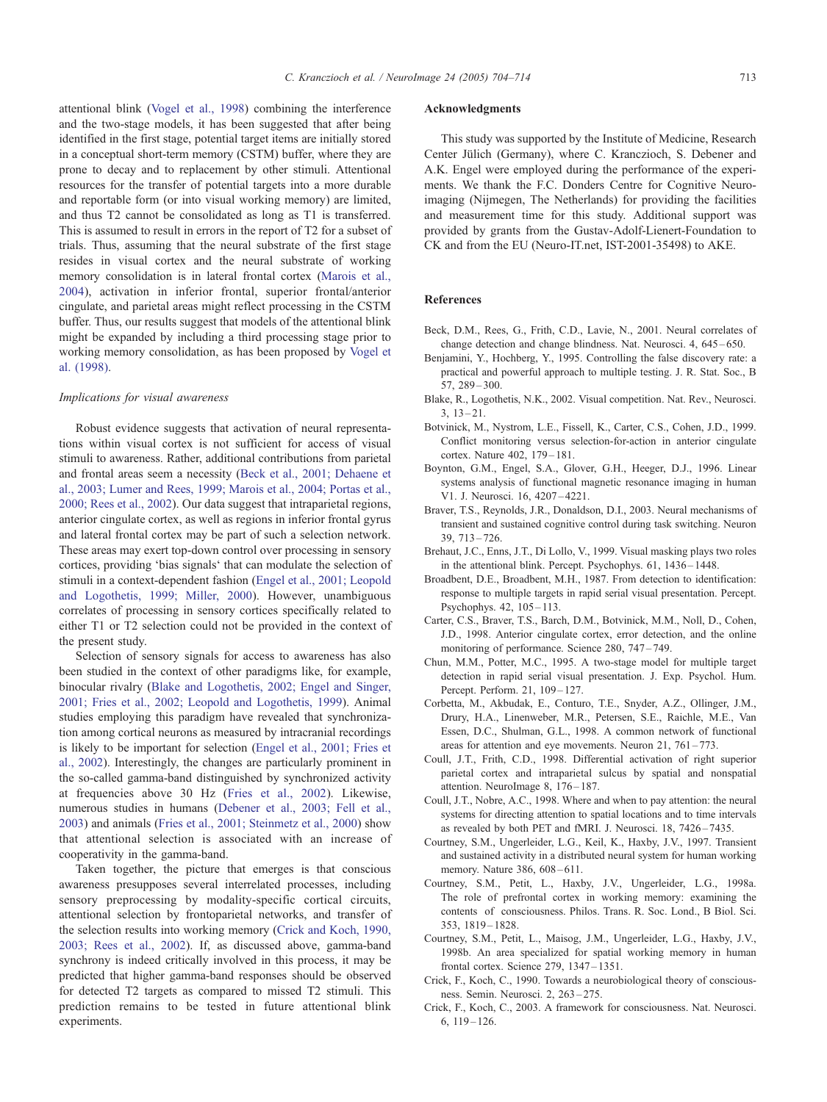<span id="page-9-0"></span>attentional blink ([Vogel et al., 1998\)](#page-10-0) combining the interference and the two-stage models, it has been suggested that after being identified in the first stage, potential target items are initially stored in a conceptual short-term memory (CSTM) buffer, where they are prone to decay and to replacement by other stimuli. Attentional resources for the transfer of potential targets into a more durable and reportable form (or into visual working memory) are limited, and thus T2 cannot be consolidated as long as T1 is transferred. This is assumed to result in errors in the report of T2 for a subset of trials. Thus, assuming that the neural substrate of the first stage resides in visual cortex and the neural substrate of working memory consolidation is in lateral frontal cortex ([Marois et al.,](#page-10-0) 2004), activation in inferior frontal, superior frontal/anterior cingulate, and parietal areas might reflect processing in the CSTM buffer. Thus, our results suggest that models of the attentional blink might be expanded by including a third processing stage prior to working memory consolidation, as has been proposed by [Vogel et](#page-10-0) al. (1998).

## Implications for visual awareness

Robust evidence suggests that activation of neural representations within visual cortex is not sufficient for access of visual stimuli to awareness. Rather, additional contributions from parietal and frontal areas seem a necessity (Beck et al., 2001; Dehaene et al., 2003; Lumer and Rees, 1999; Marois et al., 2004; Portas et al., 2000; Rees et al., 2002). Our data suggest that intraparietal regions, anterior cingulate cortex, as well as regions in inferior frontal gyrus and lateral frontal cortex may be part of such a selection network. These areas may exert top-down control over processing in sensory cortices, providing 'bias signals' that can modulate the selection of stimuli in a context-dependent fashion ([Engel et al., 2001; Leopold](#page-10-0) and Logothetis, 1999; Miller, 2000). However, unambiguous correlates of processing in sensory cortices specifically related to either T1 or T2 selection could not be provided in the context of the present study.

Selection of sensory signals for access to awareness has also been studied in the context of other paradigms like, for example, binocular rivalry (Blake and Logothetis, 2002; Engel and Singer, 2001; Fries et al., 2002; Leopold and Logothetis, 1999). Animal studies employing this paradigm have revealed that synchronization among cortical neurons as measured by intracranial recordings is likely to be important for selection ([Engel et al., 2001; Fries et](#page-10-0) al., 2002). Interestingly, the changes are particularly prominent in the so-called gamma-band distinguished by synchronized activity at frequencies above 30 Hz ([Fries et al., 2002\)](#page-10-0). Likewise, numerous studies in humans ([Debener et al., 2003; Fell et al.,](#page-10-0) 2003) and animals ([Fries et al., 2001; Steinmetz et al., 2000\)](#page-10-0) show that attentional selection is associated with an increase of cooperativity in the gamma-band.

Taken together, the picture that emerges is that conscious awareness presupposes several interrelated processes, including sensory preprocessing by modality-specific cortical circuits, attentional selection by frontoparietal networks, and transfer of the selection results into working memory (Crick and Koch, 1990, 2003; Rees et al., 2002). If, as discussed above, gamma-band synchrony is indeed critically involved in this process, it may be predicted that higher gamma-band responses should be observed for detected T2 targets as compared to missed T2 stimuli. This prediction remains to be tested in future attentional blink experiments.

#### Acknowledgments

This study was supported by the Institute of Medicine, Research Center Jülich (Germany), where C. Kranczioch, S. Debener and A.K. Engel were employed during the performance of the experiments. We thank the F.C. Donders Centre for Cognitive Neuroimaging (Nijmegen, The Netherlands) for providing the facilities and measurement time for this study. Additional support was provided by grants from the Gustav-Adolf-Lienert-Foundation to CK and from the EU (Neuro-IT.net, IST-2001-35498) to AKE.

# References

- Beck, D.M., Rees, G., Frith, C.D., Lavie, N., 2001. Neural correlates of change detection and change blindness. Nat. Neurosci. 4, 645 – 650.
- Benjamini, Y., Hochberg, Y., 1995. Controlling the false discovery rate: a practical and powerful approach to multiple testing. J. R. Stat. Soc., B 57, 289 – 300.
- Blake, R., Logothetis, N.K., 2002. Visual competition. Nat. Rev., Neurosci.  $3, 13 - 21.$
- Botvinick, M., Nystrom, L.E., Fissell, K., Carter, C.S., Cohen, J.D., 1999. Conflict monitoring versus selection-for-action in anterior cingulate cortex. Nature 402, 179-181.
- Boynton, G.M., Engel, S.A., Glover, G.H., Heeger, D.J., 1996. Linear systems analysis of functional magnetic resonance imaging in human V1. J. Neurosci. 16, 4207 – 4221.
- Braver, T.S., Reynolds, J.R., Donaldson, D.I., 2003. Neural mechanisms of transient and sustained cognitive control during task switching. Neuron 39, 713 – 726.
- Brehaut, J.C., Enns, J.T., Di Lollo, V., 1999. Visual masking plays two roles in the attentional blink. Percept. Psychophys. 61, 1436 – 1448.
- Broadbent, D.E., Broadbent, M.H., 1987. From detection to identification: response to multiple targets in rapid serial visual presentation. Percept. Psychophys. 42, 105 – 113.
- Carter, C.S., Braver, T.S., Barch, D.M., Botvinick, M.M., Noll, D., Cohen, J.D., 1998. Anterior cingulate cortex, error detection, and the online monitoring of performance. Science 280, 747 – 749.
- Chun, M.M., Potter, M.C., 1995. A two-stage model for multiple target detection in rapid serial visual presentation. J. Exp. Psychol. Hum. Percept. Perform. 21, 109 – 127.
- Corbetta, M., Akbudak, E., Conturo, T.E., Snyder, A.Z., Ollinger, J.M., Drury, H.A., Linenweber, M.R., Petersen, S.E., Raichle, M.E., Van Essen, D.C., Shulman, G.L., 1998. A common network of functional areas for attention and eye movements. Neuron  $21$ ,  $761 - 773$ .
- Coull, J.T., Frith, C.D., 1998. Differential activation of right superior parietal cortex and intraparietal sulcus by spatial and nonspatial attention. NeuroImage 8, 176-187.
- Coull, J.T., Nobre, A.C., 1998. Where and when to pay attention: the neural systems for directing attention to spatial locations and to time intervals as revealed by both PET and fMRI. J. Neurosci. 18, 7426 – 7435.
- Courtney, S.M., Ungerleider, L.G., Keil, K., Haxby, J.V., 1997. Transient and sustained activity in a distributed neural system for human working memory. Nature 386, 608-611.
- Courtney, S.M., Petit, L., Haxby, J.V., Ungerleider, L.G., 1998a. The role of prefrontal cortex in working memory: examining the contents of consciousness. Philos. Trans. R. Soc. Lond., B Biol. Sci. 353, 1819 – 1828.
- Courtney, S.M., Petit, L., Maisog, J.M., Ungerleider, L.G., Haxby, J.V., 1998b. An area specialized for spatial working memory in human frontal cortex. Science 279, 1347 – 1351.
- Crick, F., Koch, C., 1990. Towards a neurobiological theory of consciousness. Semin. Neurosci. 2, 263 – 275.
- Crick, F., Koch, C., 2003. A framework for consciousness. Nat. Neurosci. 6,  $119 - 126$ .